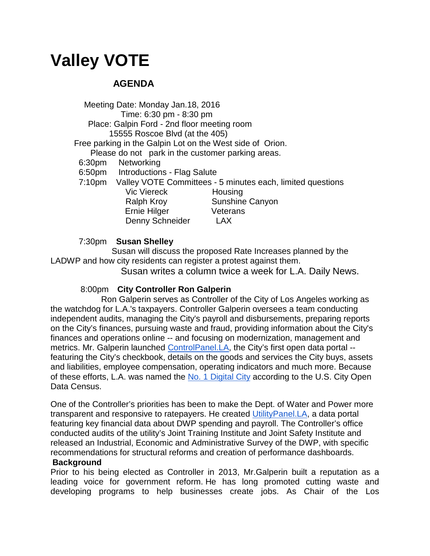# **Valley VOTE**

## **AGENDA**

 Meeting Date: Monday Jan.18, 2016 Time: 6:30 pm - 8:30 pm Place: Galpin Ford - 2nd floor meeting room 15555 Roscoe Blvd (at the 405) Free parking in the Galpin Lot on the West side of Orion. Please do not park in the customer parking areas. 6:30pm Networking 6:50pm Introductions - Flag Salute 7:10pm Valley VOTE Committees - 5 minutes each, limited questions Vic Viereck Housing Ralph Kroy Sunshine Canyon Ernie Hilger Veterans Denny Schneider LAX

7:30pm **Susan Shelley** 

 Susan will discuss the proposed Rate Increases planned by the LADWP and how city residents can register a protest against them.

Susan writes a column twice a week for L.A. Daily News.

### 8:00pm **City Controller Ron Galperin**

 Ron Galperin serves as Controller of the City of Los Angeles working as the watchdog for L.A.'s taxpayers. Controller Galperin oversees a team conducting independent audits, managing the City's payroll and disbursements, preparing reports on the City's finances, pursuing waste and fraud, providing information about the City's finances and operations online -- and focusing on modernization, management and metrics. Mr. Galperin launched [ControlPanel.LA,](https://controllerdata.lacity.org/) the City's first open data portal - featuring the City's checkbook, details on the goods and services the City buys, assets and liabilities, employee compensation, operating indicators and much more. Because of these efforts, L.A. was named the [No. 1 Digital City](http://www.govtech.com/dc/articles/Los-Angeles-Tops-US-City-Open-Data-Census.html) according to the U.S. City Open Data Census.

One of the Controller's priorities has been to make the Dept. of Water and Power more transparent and responsive to ratepayers. He created [UtilityPanel.LA,](https://controllergalperin.nationbuilder.com/admin/sites/2/pages/46/basic/utilitypanel.la) a data portal featuring key financial data about DWP spending and payroll. The Controller's office conducted audits of the utility's Joint Training Institute and Joint Safety Institute and released an Industrial, Economic and Administrative Survey of the DWP, with specific recommendations for structural reforms and creation of performance dashboards.

#### **Background**

Prior to his being elected as Controller in 2013, Mr.Galperin built a reputation as a leading voice for government reform. He has long promoted cutting waste and developing programs to help businesses create jobs. As Chair of the Los